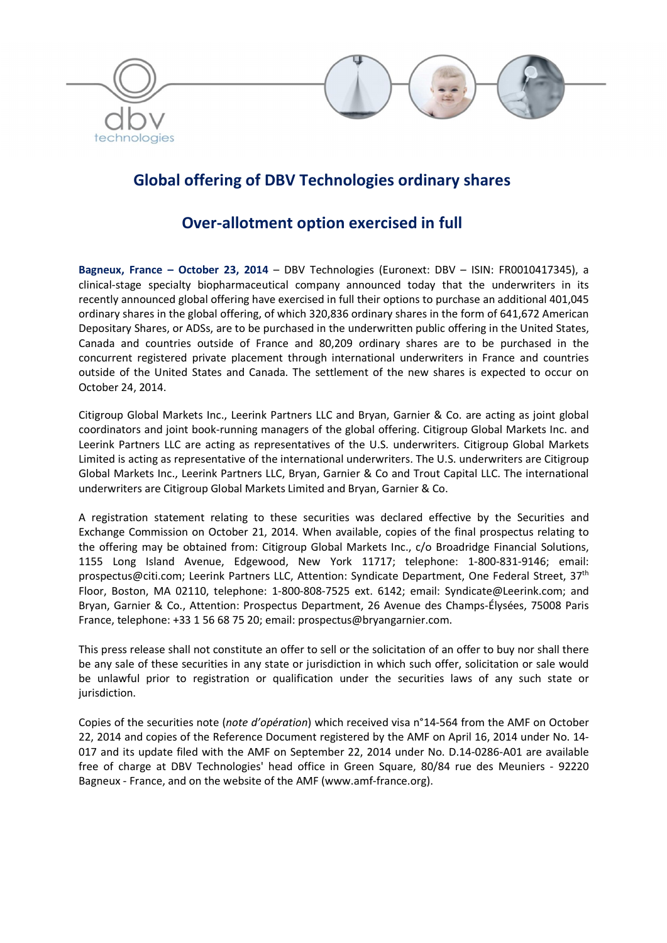

# Global offering of DBV Technologies ordinary shares

## Over-allotment option exercised in full

Bagneux, France – October 23, 2014 – DBV Technologies (Euronext: DBV – ISIN: FR0010417345), a clinical-stage specialty biopharmaceutical company announced today that the underwriters in its recently announced global offering have exercised in full their options to purchase an additional 401,045 ordinary shares in the global offering, of which 320,836 ordinary shares in the form of 641,672 American Depositary Shares, or ADSs, are to be purchased in the underwritten public offering in the United States, Canada and countries outside of France and 80,209 ordinary shares are to be purchased in the concurrent registered private placement through international underwriters in France and countries outside of the United States and Canada. The settlement of the new shares is expected to occur on October 24, 2014.

Citigroup Global Markets Inc., Leerink Partners LLC and Bryan, Garnier & Co. are acting as joint global coordinators and joint book-running managers of the global offering. Citigroup Global Markets Inc. and Leerink Partners LLC are acting as representatives of the U.S. underwriters. Citigroup Global Markets Limited is acting as representative of the international underwriters. The U.S. underwriters are Citigroup Global Markets Inc., Leerink Partners LLC, Bryan, Garnier & Co and Trout Capital LLC. The international underwriters are Citigroup Global Markets Limited and Bryan, Garnier & Co.

A registration statement relating to these securities was declared effective by the Securities and Exchange Commission on October 21, 2014. When available, copies of the final prospectus relating to the offering may be obtained from: Citigroup Global Markets Inc., c/o Broadridge Financial Solutions, 1155 Long Island Avenue, Edgewood, New York 11717; telephone: 1-800-831-9146; email: prospectus@citi.com; Leerink Partners LLC, Attention: Syndicate Department, One Federal Street, 37th Floor, Boston, MA 02110, telephone: 1-800-808-7525 ext. 6142; email: Syndicate@Leerink.com; and Bryan, Garnier & Co., Attention: Prospectus Department, 26 Avenue des Champs-Élysées, 75008 Paris France, telephone: +33 1 56 68 75 20; email: prospectus@bryangarnier.com.

This press release shall not constitute an offer to sell or the solicitation of an offer to buy nor shall there be any sale of these securities in any state or jurisdiction in which such offer, solicitation or sale would be unlawful prior to registration or qualification under the securities laws of any such state or jurisdiction.

Copies of the securities note (*note d'opération*) which received visa n°14-564 from the AMF on October 22, 2014 and copies of the Reference Document registered by the AMF on April 16, 2014 under No. 14- 017 and its update filed with the AMF on September 22, 2014 under No. D.14-0286-A01 are available free of charge at DBV Technologies' head office in Green Square, 80/84 rue des Meuniers - 92220 Bagneux - France, and on the website of the AMF (www.amf-france.org).